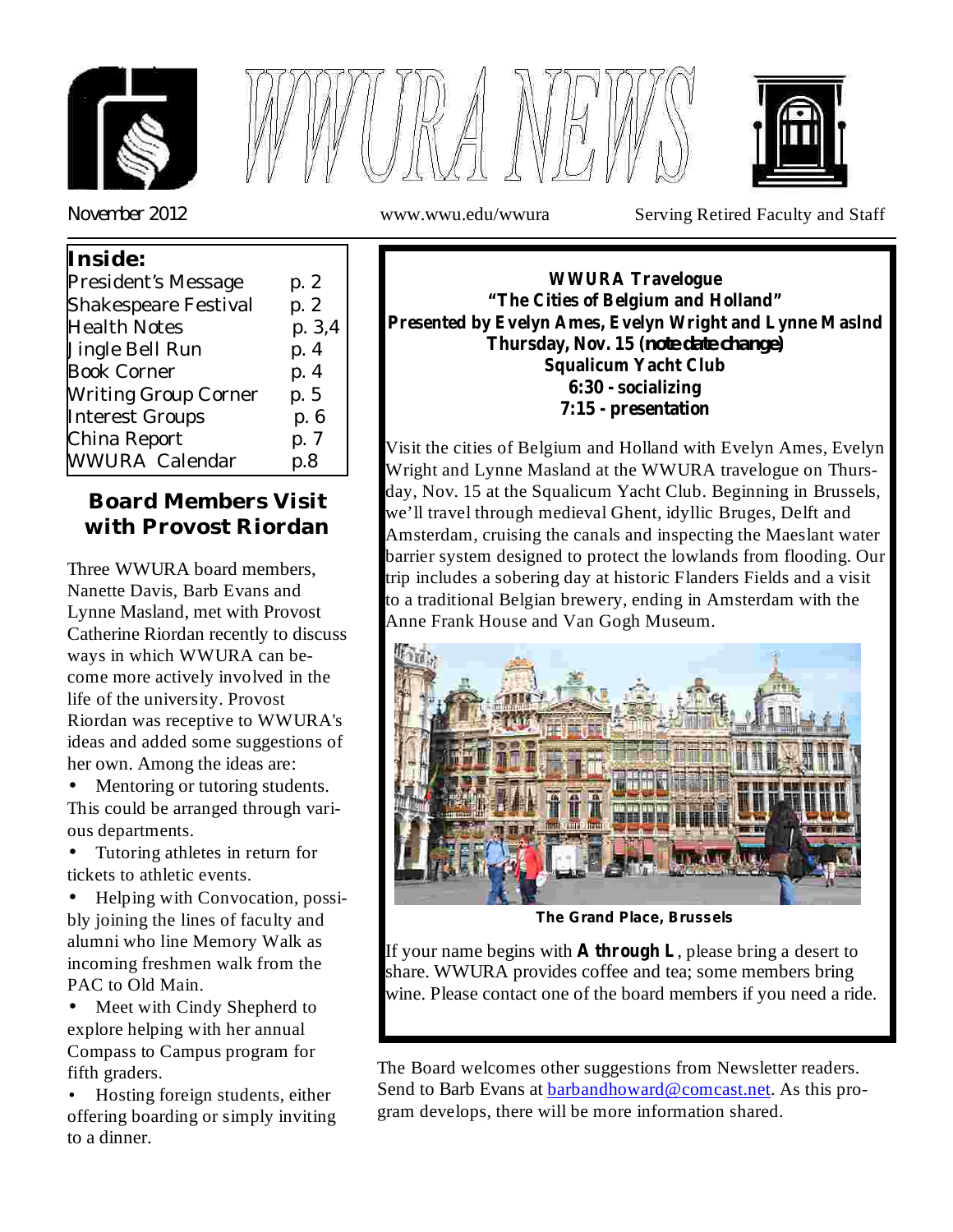





*November* 2012 www.wwu.edu/wwura Serving Retired Faculty and Staff

| President's Message<br>p. 2<br><b>Shakespeare Festival</b><br>p. 2 |
|--------------------------------------------------------------------|
|                                                                    |
|                                                                    |
| p. 3,4<br><b>Health Notes</b>                                      |
| p. 4<br>Jingle Bell Run                                            |
| <b>Book Corner</b><br>p. 4                                         |
| <b>Writing Group Corner</b><br>p. 5                                |
| <b>Interest Groups</b><br>p. 6                                     |
| China Report<br>p. 7                                               |
| WWURA Calendar<br>p.8                                              |

# **Board Members Visit with Provost Riordan**

Three WWURA board members, Nanette Davis, Barb Evans and Lynne Masland, met with Provost Catherine Riordan recently to discuss ways in which WWURA can become more actively involved in the life of the university. Provost Riordan was receptive to WWURA's ideas and added some suggestions of her own. Among the ideas are:

Mentoring or tutoring students. This could be arranged through various departments. •

Tutoring athletes in return for tickets to athletic events.  $\bullet$ 

Helping with Convocation, possibly joining the lines of faculty and alumni who line Memory Walk as incoming freshmen walk from the PAC to Old Main. •

• Meet with Cindy Shepherd to explore helping with her annual Compass to Campus program for fifth graders.

Hosting foreign students, either offering boarding or simply inviting to a dinner. •

**WWURA Travelogue "The Cities of Belgium and Holland" Presented by Evelyn Ames, Evelyn Wright and Lynne Maslnd Thursday, Nov. 15 (** *note date change)* **Squalicum Yacht Club 6:30 - socializing 7:15 - presentation**

Visit the cities of Belgium and Holland with Evelyn Ames, Evelyn Wright and Lynne Masland at the WWURA travelogue on Thursday, Nov. 15 at the Squalicum Yacht Club. Beginning in Brussels, we'll travel through medieval Ghent, idyllic Bruges, Delft and Amsterdam, cruising the canals and inspecting the Maeslant water barrier system designed to protect the lowlands from flooding. Our trip includes a sobering day at historic Flanders Fields and a visit to a traditional Belgian brewery, ending in Amsterdam with the Anne Frank House and Van Gogh Museum.



**The Grand Place, Brussels**

If your name begins with  $\bf{A}$  through  $\bf{L}$ , please bring a desert to share. WWURA provides coffee and tea; some members bring wine. Please contact one of the board members if you need a ride.

The Board welcomes other suggestions from Newsletter readers. Send to Barb Evans at barbandhoward@comcast.net. As this program develops, there will be more information shared.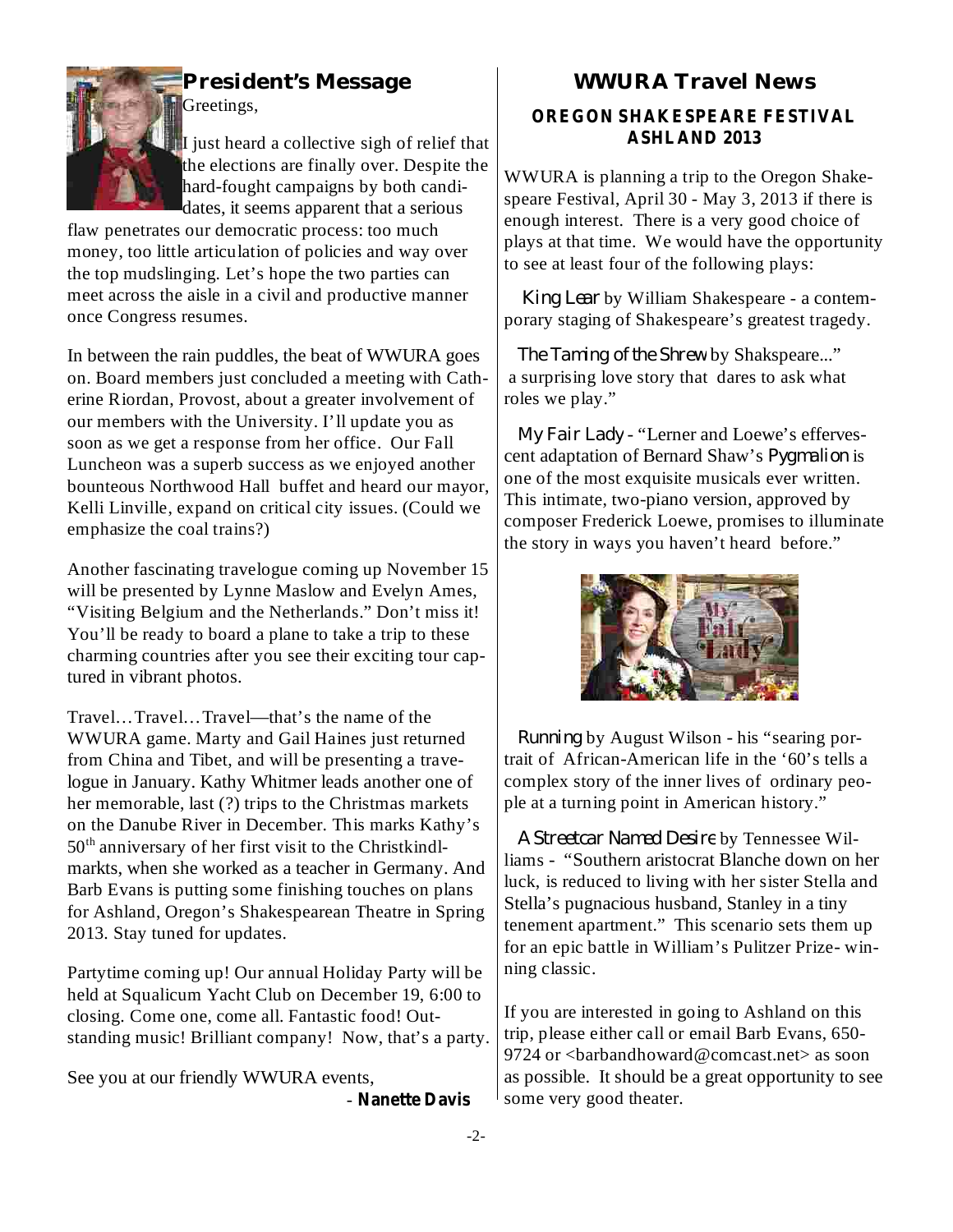

Greetings,

I just heard a collective sigh of relief that the elections are finally over. Despite the hard-fought campaigns by both candidates, it seems apparent that a serious

flaw penetrates our democratic process: too much money, too little articulation of policies and way over the top mudslinging. Let's hope the two parties can meet across the aisle in a civil and productive manner once Congress resumes.

In between the rain puddles, the beat of WWURA goes on. Board members just concluded a meeting with Catherine Riordan, Provost, about a greater involvement of our members with the University. I'll update you as soon as we get a response from her office. Our Fall Luncheon was a superb success as we enjoyed another bounteous Northwood Hall buffet and heard our mayor, Kelli Linville, expand on critical city issues. (Could we emphasize the coal trains?)

Another fascinating travelogue coming up November 15 will be presented by Lynne Maslow and Evelyn Ames, "Visiting Belgium and the Netherlands." Don't miss it! You'll be ready to board a plane to take a trip to these charming countries after you see their exciting tour captured in vibrant photos.

Travel…Travel…Travel—that's the name of the WWURA game. Marty and Gail Haines just returned from China and Tibet, and will be presenting a travelogue in January. Kathy Whitmer leads another one of her memorable, last (?) trips to the Christmas markets on the Danube River in December. This marks Kathy's 50<sup>th</sup> anniversary of her first visit to the Christkindlmarkts, when she worked as a teacher in Germany. And Barb Evans is putting some finishing touches on plans for Ashland, Oregon's Shakespearean Theatre in Spring 2013. Stay tuned for updates.

Partytime coming up! Our annual Holiday Party will be held at Squalicum Yacht Club on December 19, 6:00 to closing. Come one, come all. Fantastic food! Outstanding music! Brilliant company! Now, that's a party.

See you at our friendly WWURA events,

- Nanette Davis

## **President's Message WWURA Travel News**

#### **OREGON SHAKESPEARE FESTIVAL ASHLAND 2013**

WWURA is planning a trip to the Oregon Shakespeare Festival, April 30 - May 3, 2013 if there is enough interest. There is a very good choice of plays at that time. We would have the opportunity to see at least four of the following plays:

by William Shakespeare - a contem-*King Lear* porary staging of Shakespeare's greatest tragedy.

by Shakspeare..." *The Taming of the Shrew* a surprising love story that dares to ask what roles we play."

- "Lerner and Loewe's efferves-*My Fair Lady* cent adaptation of Bernard Shaw's *Pygmalion* is one of the most exquisite musicals ever written. This intimate, two-piano version, approved by composer Frederick Loewe, promises to illuminate the story in ways you haven't heard before."



by August Wilson - his "searing por-*Running* trait of African-American life in the '60's tells a complex story of the inner lives of ordinary people at a turning point in American history."

by Tennessee Wil-*A Streetcar Named Desire*liams - "Southern aristocrat Blanche down on her luck, is reduced to living with her sister Stella and Stella's pugnacious husband, Stanley in a tiny tenement apartment." This scenario sets them up for an epic battle in William's Pulitzer Prize- winning classic.

If you are interested in going to Ashland on this trip, please either call or email Barb Evans, 650- 9724 or  $\langle$ barbandhoward@comcast.net $>$  as soon as possible. It should be a great opportunity to see some very good theater.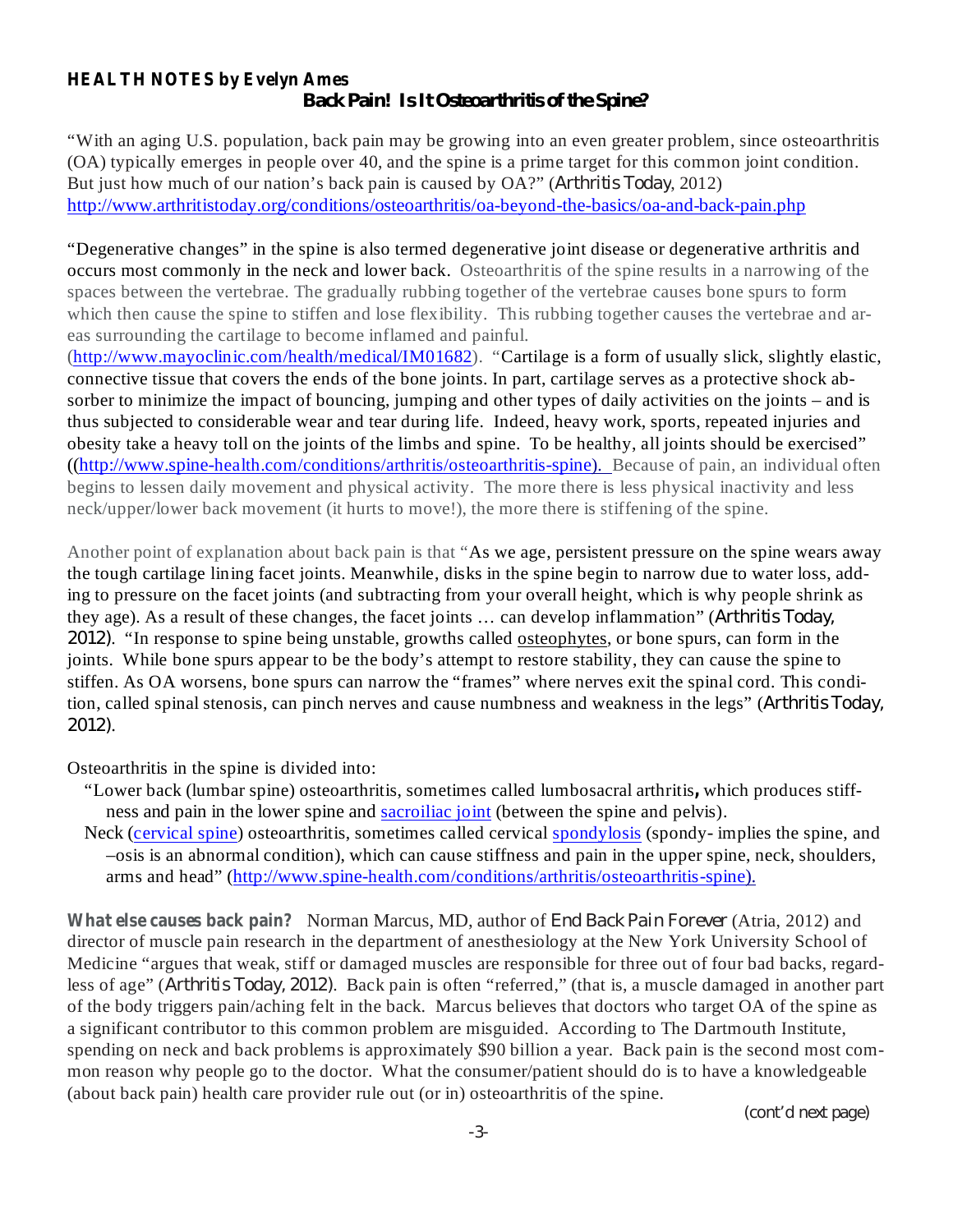#### **HEALTH NOTES by Evelyn Ames** *Back Pain! Is It Osteoarthritis of the Spine?*

"With an aging U.S. population, back pain may be growing into an even greater problem, since osteoarthritis (OA) typically emerges in people over 40, and the spine is a prime target for this common joint condition. But just how much of our nation's back pain is caused by OA?" (Arthritis Today, 2012) http://www.arthritistoday.org/conditions/osteoarthritis/oa-beyond-the-basics/oa-and-back-pain.php

"Degenerative changes" in the spine is also termed degenerative joint disease or degenerative arthritis and occurs most commonly in the neck and lower back. Osteoarthritis of the spine results in a narrowing of the spaces between the vertebrae. The gradually rubbing together of the vertebrae causes bone spurs to form which then cause the spine to stiffen and lose flexibility. This rubbing together causes the vertebrae and areas surrounding the cartilage to become inflamed and painful.

(http://www.mayoclinic.com/health/medical/IM01682). "Cartilage is a form of usually slick, slightly elastic, connective tissue that covers the ends of the bone joints. In part, cartilage serves as a protective shock absorber to minimize the impact of bouncing, jumping and other types of daily activities on the joints – and is thus subjected to considerable wear and tear during life. Indeed, heavy work, sports, repeated injuries and obesity take a heavy toll on the joints of the limbs and spine. To be healthy, all joints should be exercised" ((http://www.spine-health.com/conditions/arthritis/osteoarthritis-spine). Because of pain, an individual often begins to lessen daily movement and physical activity. The more there is less physical inactivity and less neck/upper/lower back movement (it hurts to move!), the more there is stiffening of the spine.

Another point of explanation about back pain is that "As we age, persistent pressure on the spine wears away the tough cartilage lining facet joints. Meanwhile, disks in the spine begin to narrow due to water loss, adding to pressure on the facet joints (and subtracting from your overall height, which is why people shrink as they age). As a result of these changes, the facet joints … can develop inflammation" ( *Arthritis Today,* . "In response to spine being unstable, growths called osteophytes, or bone spurs, can form in the *2012)* joints. While bone spurs appear to be the body's attempt to restore stability, they can cause the spine to stiffen. As OA worsens, bone spurs can narrow the "frames" where nerves exit the spinal cord. This condition, called spinal stenosis, can pinch nerves and cause numbness and weakness in the legs" ( *Arthritis Today,* . *2012)*

Osteoarthritis in the spine is divided into:

- "Lower back (lumbar spine) osteoarthritis, sometimes called lumbosacral arthritis, which produces stiffness and pain in the lower spine and **sacroiliac** joint (between the spine and pelvis).
- Neck (cervical spine) osteoarthritis, sometimes called cervical spondylosis (spondy- implies the spine, and –osis is an abnormal condition), which can cause stiffness and pain in the upper spine, neck, shoulders, arms and head" (http://www.spine-health.com/conditions/arthritis/osteoarthritis-spine).

**What else causes back pain?** Norman Marcus, MD, author of *End Back Pain Forever* (Atria, 2012) and director of muscle pain research in the department of anesthesiology at the New York University School of Medicine "argues that weak, stiff or damaged muscles are responsible for three out of four bad backs, regardless of age" (*Arthritis Today, 2012*). Back pain is often "referred," (that is, a muscle damaged in another part of the body triggers pain/aching felt in the back. Marcus believes that doctors who target OA of the spine as a significant contributor to this common problem are misguided. According to The Dartmouth Institute, spending on neck and back problems is approximately \$90 billion a year. Back pain is the second most common reason why people go to the doctor. What the consumer/patient should do is to have a knowledgeable (about back pain) health care provider rule out (or in) osteoarthritis of the spine.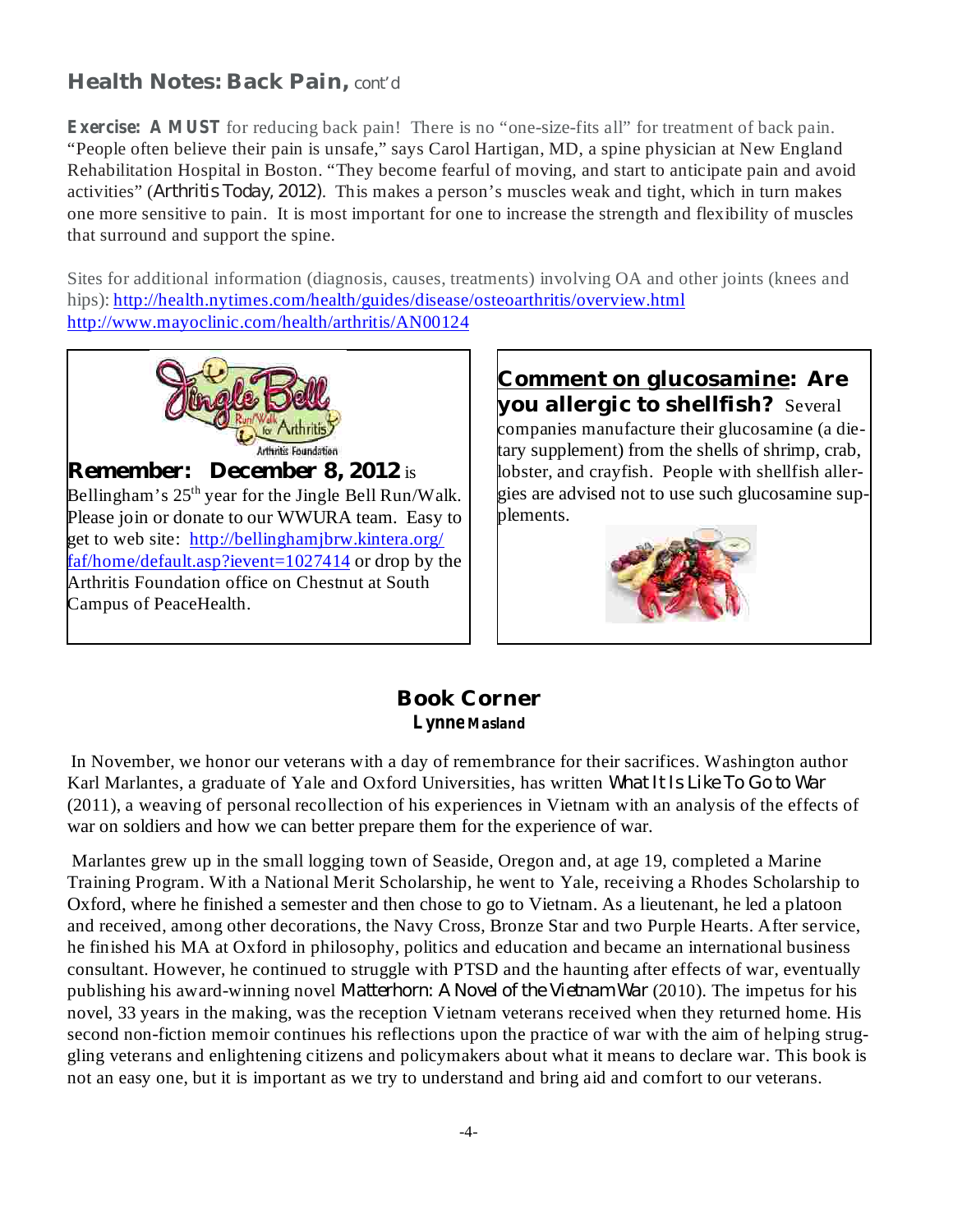## **Health Notes: Back Pain,** *cont'd*

activities" (Arthritis Today, 2012). This makes a person's muscles weak and tight, which in turn makes **Exercise: A MUST** for reducing back pain! There is no "one-size-fits all" for treatment of back pain. "People often believe their pain is unsafe," says Carol Hartigan, MD, a spine physician at New England Rehabilitation Hospital in Boston. "They become fearful of moving, and start to anticipate pain and avoid one more sensitive to pain. It is most important for one to increase the strength and flexibility of muscles that surround and support the spine.

Sites for additional information (diagnosis, causes, treatments) involving OA and other joints (knees and hips): http://health.nytimes.com/health/guides/disease/osteoarthritis/overview.html http://www.mayoclinic.com/health/arthritis/AN00124



*Remember:* December 8, 2012 is Bellingham's  $25<sup>th</sup>$  year for the Jingle Bell Run/Walk. Please join or donate to our WWURA team. Easy to get to web site: http://bellinghamjbrw.kintera.org/ faf/home/default.asp?ievent=1027414 or drop by the Arthritis Foundation office on Chestnut at South Campus of PeaceHealth.

**Comment on glucosamine: Are you allergic to shellfish?** Several companies manufacture their glucosamine (a dietary supplement) from the shells of shrimp, crab, lobster, and crayfish. People with shellfish allergies are advised not to use such glucosamine supplements.



#### **Book Corner Lynne Masland**

*What It Is Like To Go to War* Karl Marlantes, a graduate of Yale and Oxford Universities, has written In November, we honor our veterans with a day of remembrance for their sacrifices. Washington author (2011), a weaving of personal recollection of his experiences in Vietnam with an analysis of the effects of war on soldiers and how we can better prepare them for the experience of war.

publishing his award-winning novel *Matterhorn: A Novel of the Vietnam War* (2010). The impetus for his Marlantes grew up in the small logging town of Seaside, Oregon and, at age 19, completed a Marine Training Program. With a National Merit Scholarship, he went to Yale, receiving a Rhodes Scholarship to Oxford, where he finished a semester and then chose to go to Vietnam. As a lieutenant, he led a platoon and received, among other decorations, the Navy Cross, Bronze Star and two Purple Hearts. After service, he finished his MA at Oxford in philosophy, politics and education and became an international business consultant. However, he continued to struggle with PTSD and the haunting after effects of war, eventually novel, 33 years in the making, was the reception Vietnam veterans received when they returned home. His second non-fiction memoir continues his reflections upon the practice of war with the aim of helping struggling veterans and enlightening citizens and policymakers about what it means to declare war. This book is not an easy one, but it is important as we try to understand and bring aid and comfort to our veterans.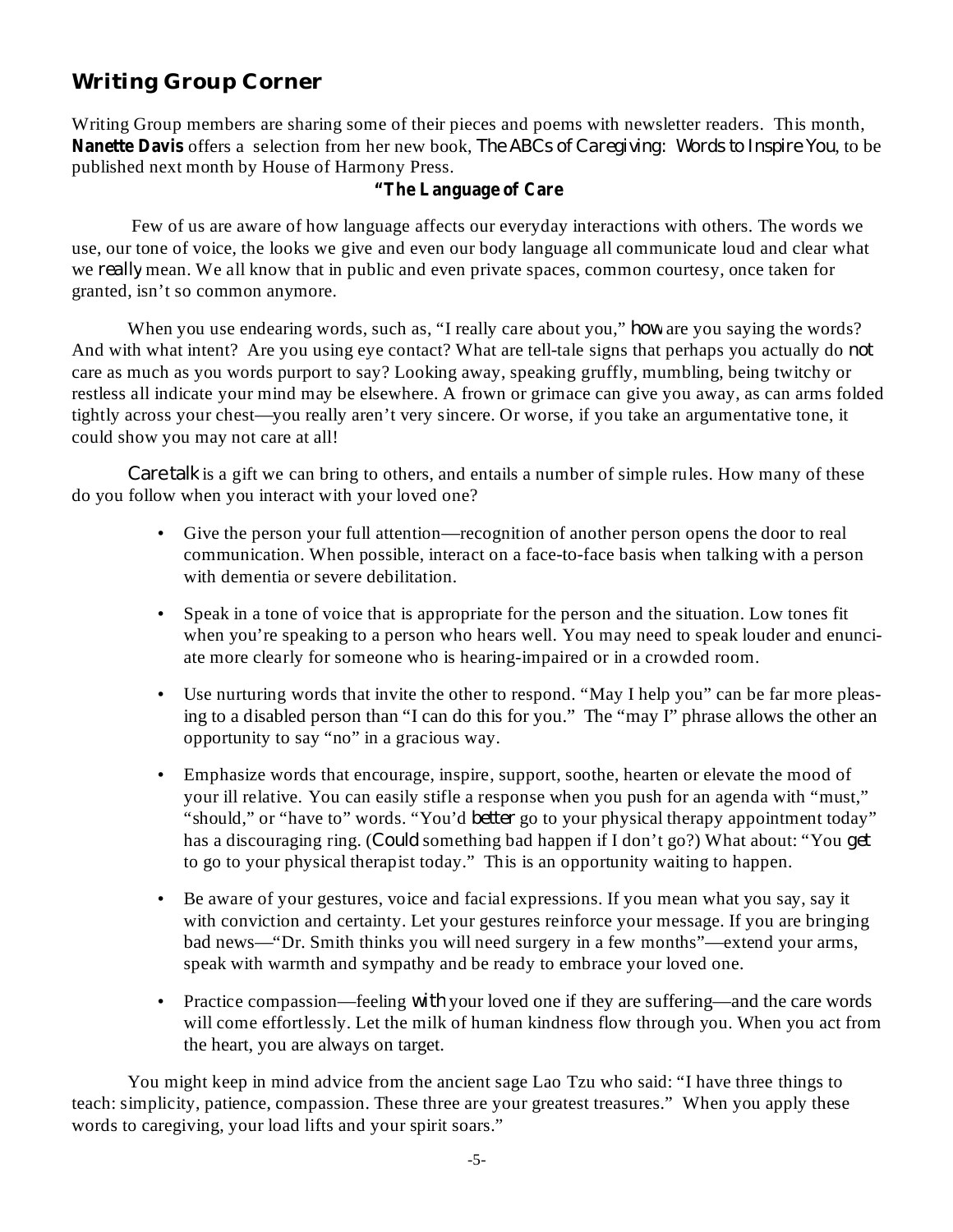# **Writing Group Corner**

Writing Group members are sharing some of their pieces and poems with newsletter readers. This month, Nanette Davis offers a selection from her new book, The ABCs of Caregiving: Words to Inspire You, to be published next month by House of Harmony Press.

#### **"The Language of Care**

Few of us are aware of how language affects our everyday interactions with others. The words we use, our tone of voice, the looks we give and even our body language all communicate loud and clear what we *really* mean. We all know that in public and even private spaces, common courtesy, once taken for granted, isn't so common anymore.

When you use endearing words, such as, "I really care about you," how are you saying the words? And with what intent? Are you using eye contact? What are tell-tale signs that perhaps you actually do *not* care as much as you words purport to say? Looking away, speaking gruffly, mumbling, being twitchy or restless all indicate your mind may be elsewhere. A frown or grimace can give you away, as can arms folded tightly across your chest—you really aren't very sincere. Or worse, if you take an argumentative tone, it could show you may not care at all!

Care talk is a gift we can bring to others, and entails a number of simple rules. How many of these do you follow when you interact with your loved one?

- Give the person your full attention—recognition of another person opens the door to real communication. When possible, interact on a face-to-face basis when talking with a person with dementia or severe debilitation.
- Speak in a tone of voice that is appropriate for the person and the situation. Low tones fit when you're speaking to a person who hears well. You may need to speak louder and enunciate more clearly for someone who is hearing-impaired or in a crowded room.
- Use nurturing words that invite the other to respond. "May I help you" can be far more pleasing to a disabled person than "I can do this for you." The "may I" phrase allows the other an opportunity to say "no" in a gracious way.
- Emphasize words that encourage, inspire, support, soothe, hearten or elevate the mood of your ill relative. You can easily stifle a response when you push for an agenda with "must," "should," or "have to" words. "You'd *better* go to your physical therapy appointment today" has a discouraging ring. (*Could* something bad happen if I don't go?) What about: "You get to go to your physical therapist today." This is an opportunity waiting to happen.
- Be aware of your gestures, voice and facial expressions. If you mean what you say, say it with conviction and certainty. Let your gestures reinforce your message. If you are bringing bad news—"Dr. Smith thinks you will need surgery in a few months"—extend your arms, speak with warmth and sympathy and be ready to embrace your loved one.
- Practice compassion—feeling *with* your loved one if they are suffering—and the care words will come effortlessly. Let the milk of human kindness flow through you. When you act from the heart, you are always on target.

You might keep in mind advice from the ancient sage Lao Tzu who said: "I have three things to teach: simplicity, patience, compassion. These three are your greatest treasures." When you apply these words to caregiving, your load lifts and your spirit soars."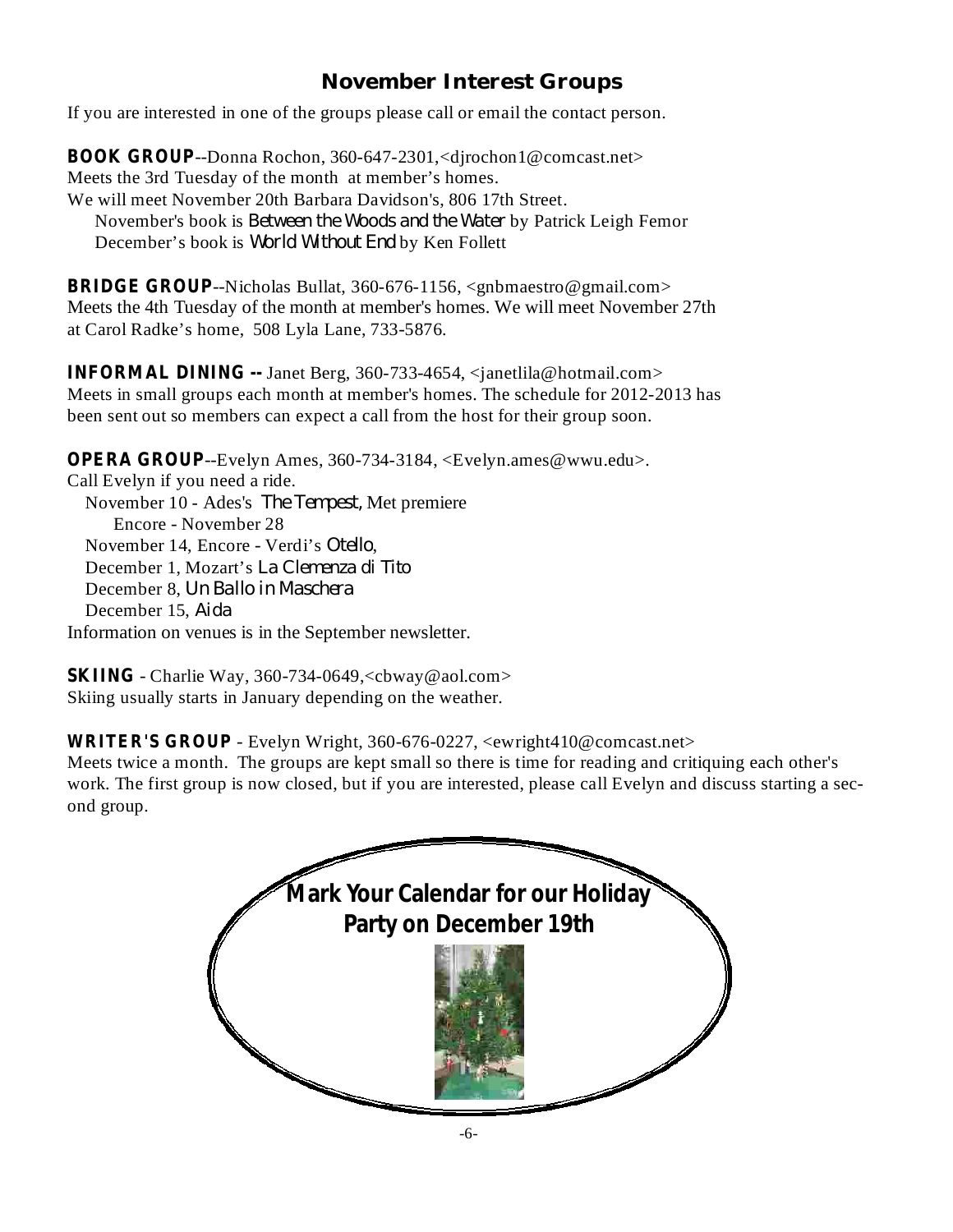# **November Interest Groups**

If you are interested in one of the groups please call or email the contact person.

**BOOK GROUP**--Donna Rochon, 360-647-2301,<djrochon1@comcast.net> Meets the 3rd Tuesday of the month at member's homes. We will meet November 20th Barbara Davidson's, 806 17th Street. November's book is *Between the Woods and the Water* by Patrick Leigh Femor December's book is *World Without End* by Ken Follett

**BRIDGE GROUP**--Nicholas Bullat, 360-676-1156, <gnbmaestro@gmail.com> Meets the 4th Tuesday of the month at member's homes. We will meet November 27th at Carol Radke's home, 508 Lyla Lane, 733-5876.

**INFORMAL DINING --** Janet Berg, 360-733-4654, <janetlila@hotmail.com> Meets in small groups each month at member's homes. The schedule for 2012-2013 has been sent out so members can expect a call from the host for their group soon.

**OPERA GROUP**--Evelyn Ames, 360-734-3184, <Evelyn.ames@wwu.edu>.

Call Evelyn if you need a ride. November 10 - Ades's The Tempest, Met premiere Encore - November 28 November 14, Encore - Verdi's Otello, December 1, Mozart's *La Clemenza di Tito* December 8, *Un Ballo in Maschera* December 15, *Aida* Information on venues is in the September newsletter.

**SKIING** - Charlie Way, 360-734-0649,<cbway@aol.com> Skiing usually starts in January depending on the weather.

- Evelyn Wright, 360-676-0227, <ewright410@comcast.net> **WRITER'S GROUP**

Meets twice a month. The groups are kept small so there is time for reading and critiquing each other's work. The first group is now closed, but if you are interested, please call Evelyn and discuss starting a second group.

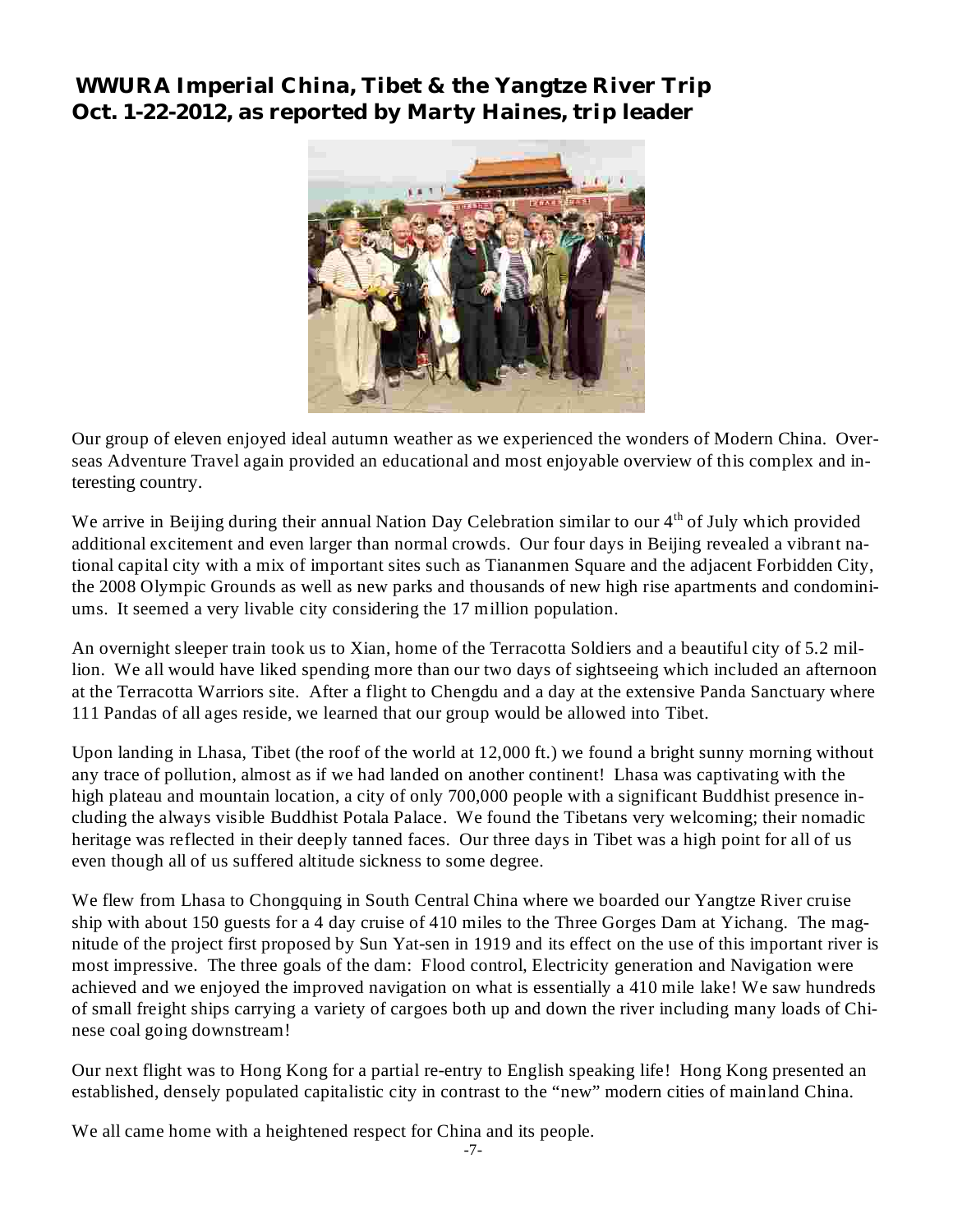**WWURA Imperial China, Tibet & the Yangtze River Trip Oct. 1-22-2012, as reported by Marty Haines, trip leader**



Our group of eleven enjoyed ideal autumn weather as we experienced the wonders of Modern China. Overseas Adventure Travel again provided an educational and most enjoyable overview of this complex and interesting country.

We arrive in Beijing during their annual Nation Day Celebration similar to our 4<sup>th</sup> of July which provided additional excitement and even larger than normal crowds. Our four days in Beijing revealed a vibrant national capital city with a mix of important sites such as Tiananmen Square and the adjacent Forbidden City, the 2008 Olympic Grounds as well as new parks and thousands of new high rise apartments and condominiums. It seemed a very livable city considering the 17 million population.

An overnight sleeper train took us to Xian, home of the Terracotta Soldiers and a beautiful city of 5.2 million. We all would have liked spending more than our two days of sightseeing which included an afternoon at the Terracotta Warriors site. After a flight to Chengdu and a day at the extensive Panda Sanctuary where 111 Pandas of all ages reside, we learned that our group would be allowed into Tibet.

Upon landing in Lhasa, Tibet (the roof of the world at 12,000 ft.) we found a bright sunny morning without any trace of pollution, almost as if we had landed on another continent! Lhasa was captivating with the high plateau and mountain location, a city of only 700,000 people with a significant Buddhist presence including the always visible Buddhist Potala Palace. We found the Tibetans very welcoming; their nomadic heritage was reflected in their deeply tanned faces. Our three days in Tibet was a high point for all of us even though all of us suffered altitude sickness to some degree.

We flew from Lhasa to Chongquing in South Central China where we boarded our Yangtze River cruise ship with about 150 guests for a 4 day cruise of 410 miles to the Three Gorges Dam at Yichang. The magnitude of the project first proposed by Sun Yat-sen in 1919 and its effect on the use of this important river is most impressive. The three goals of the dam: Flood control, Electricity generation and Navigation were achieved and we enjoyed the improved navigation on what is essentially a 410 mile lake! We saw hundreds of small freight ships carrying a variety of cargoes both up and down the river including many loads of Chinese coal going downstream!

Our next flight was to Hong Kong for a partial re-entry to English speaking life! Hong Kong presented an established, densely populated capitalistic city in contrast to the "new" modern cities of mainland China.

We all came home with a heightened respect for China and its people.